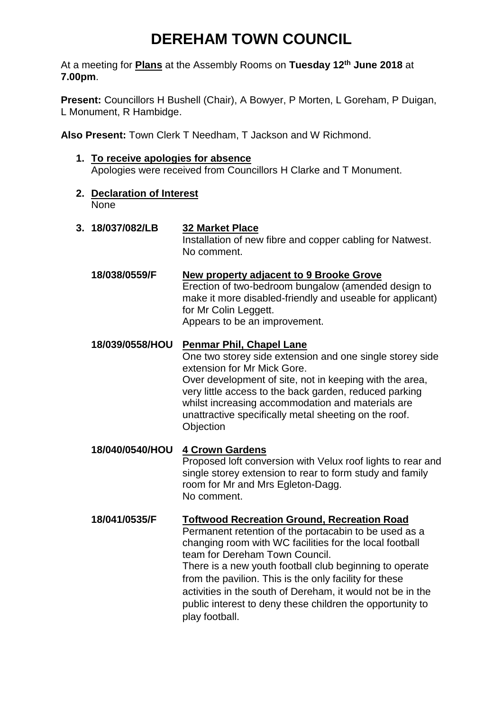# **DEREHAM TOWN COUNCIL**

At a meeting for **Plans** at the Assembly Rooms on **Tuesday 12th June 2018** at **7.00pm**.

**Present:** Councillors H Bushell (Chair), A Bowyer, P Morten, L Goreham, P Duigan, L Monument, R Hambidge.

**Also Present:** Town Clerk T Needham, T Jackson and W Richmond.

- **1. To receive apologies for absence** Apologies were received from Councillors H Clarke and T Monument.
- **2. Declaration of Interest** None
- **3. 18/037/082/LB 32 Market Place** Installation of new fibre and copper cabling for Natwest. No comment. **18/038/0559/F New property adjacent to 9 Brooke Grove** Erection of two-bedroom bungalow (amended design to make it more disabled-friendly and useable for applicant) for Mr Colin Leggett.

Appears to be an improvement.

**18/039/0558/HOU Penmar Phil, Chapel Lane**

One two storey side extension and one single storey side extension for Mr Mick Gore.

Over development of site, not in keeping with the area, very little access to the back garden, reduced parking whilst increasing accommodation and materials are unattractive specifically metal sheeting on the roof. **Objection** 

**18/040/0540/HOU 4 Crown Gardens** Proposed loft conversion with Velux roof lights to rear and single storey extension to rear to form study and family room for Mr and Mrs Egleton-Dagg. No comment.

#### **18/041/0535/F Toftwood Recreation Ground, Recreation Road** Permanent retention of the portacabin to be used as a

changing room with WC facilities for the local football team for Dereham Town Council.

There is a new youth football club beginning to operate from the pavilion. This is the only facility for these activities in the south of Dereham, it would not be in the public interest to deny these children the opportunity to play football.